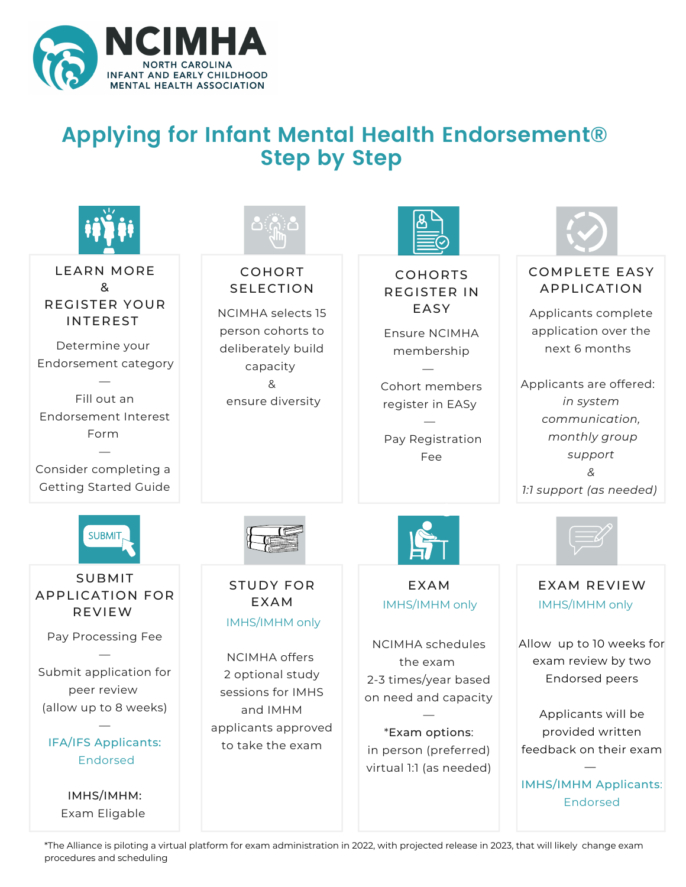

## **Applying for Infant Mental Health Endorsement® Step by Step**



\*The Alliance is piloting a virtual platform for exam administration in 2022, with projected release in 2023, that will likely change exam procedures and scheduling